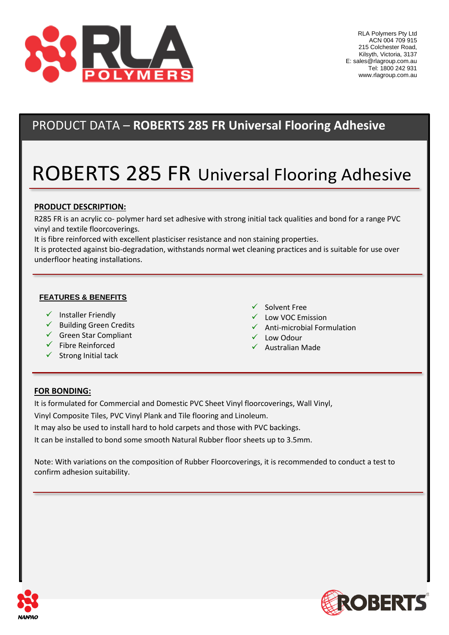

# PRODUCT DATA – **ROBERTS 285 FR Universal Flooring Adhesive**

# ROBERTS 285 FR Universal Flooring Adhesive

### **PRODUCT DESCRIPTION:**

R285 FR is an acrylic co- polymer hard set adhesive with strong initial tack qualities and bond for a range PVC vinyl and textile floorcoverings.

It is fibre reinforced with excellent plasticiser resistance and non staining properties.

It is protected against bio-degradation, withstands normal wet cleaning practices and is suitable for use over underfloor heating installations.

#### **FEATURES & BENEFITS**

- $\checkmark$  Installer Friendly
- ✓ Building Green Credits
- ✓ Green Star Compliant
- $\checkmark$  Fibre Reinforced
- $\checkmark$  Strong Initial tack
- ✓ Solvent Free
- ✓ Low VOC Emission
- $\checkmark$  Anti-microbial Formulation
- ✓ Low Odour
- ✓ Australian Made

#### **FOR BONDING:**

It is formulated for Commercial and Domestic PVC Sheet Vinyl floorcoverings, Wall Vinyl, Vinyl Composite Tiles, PVC Vinyl Plank and Tile flooring and Linoleum. It may also be used to install hard to hold carpets and those with PVC backings. It can be installed to bond some smooth Natural Rubber floor sheets up to 3.5mm.

Note: With variations on the composition of Rubber Floorcoverings, it is recommended to conduct a test to confirm adhesion suitability.



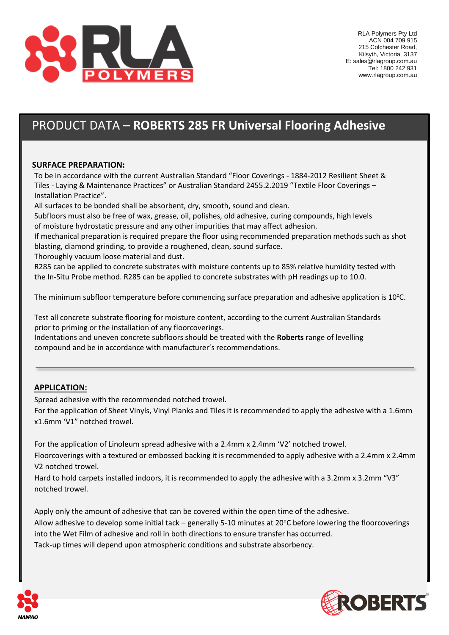

# PRODUCT DATA – **ROBERTS 285 FR Universal Flooring Adhesive**

### **SURFACE PREPARATION:**

To be in accordance with the current Australian Standard "Floor Coverings - 1884-2012 Resilient Sheet & Tiles - Laying & Maintenance Practices" or Australian Standard 2455.2.2019 "Textile Floor Coverings – Installation Practice".

All surfaces to be bonded shall be absorbent, dry, smooth, sound and clean.

Subfloors must also be free of wax, grease, oil, polishes, old adhesive, curing compounds, high levels of moisture hydrostatic pressure and any other impurities that may affect adhesion.

If mechanical preparation is required prepare the floor using recommended preparation methods such as shot blasting, diamond grinding, to provide a roughened, clean, sound surface.

Thoroughly vacuum loose material and dust.

R285 can be applied to concrete substrates with moisture contents up to 85% relative humidity tested with the In-Situ Probe method. R285 can be applied to concrete substrates with pH readings up to 10.0.

The minimum subfloor temperature before commencing surface preparation and adhesive application is  $10^{\circ}$ C.

Test all concrete substrate flooring for moisture content, according to the current Australian Standards prior to priming or the installation of any floorcoverings.

Indentations and uneven concrete subfloors should be treated with the **Roberts** range of levelling compound and be in accordance with manufacturer's recommendations.

### **APPLICATION:**

Spread adhesive with the recommended notched trowel.

For the application of Sheet Vinyls, Vinyl Planks and Tiles it is recommended to apply the adhesive with a 1.6mm x1.6mm 'V1" notched trowel.

For the application of Linoleum spread adhesive with a 2.4mm x 2.4mm 'V2' notched trowel. Floorcoverings with a textured or embossed backing it is recommended to apply adhesive with a 2.4mm x 2.4mm V2 notched trowel.

Hard to hold carpets installed indoors, it is recommended to apply the adhesive with a 3.2mm x 3.2mm "V3" notched trowel.

Apply only the amount of adhesive that can be covered within the open time of the adhesive. Allow adhesive to develop some initial tack – generally 5-10 minutes at  $20^{\circ}$ C before lowering the floorcoverings into the Wet Film of adhesive and roll in both directions to ensure transfer has occurred. Tack-up times will depend upon atmospheric conditions and substrate absorbency.



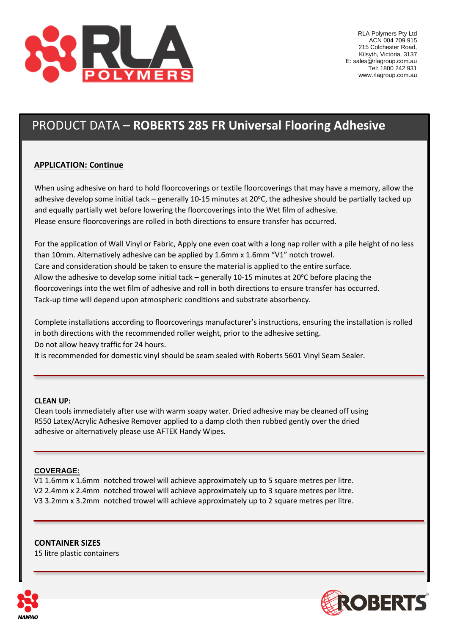

# PRODUCT DATA – **ROBERTS 285 FR Universal Flooring Adhesive**

### **APPLICATION: Continue**

When using adhesive on hard to hold floorcoverings or textile floorcoverings that may have a memory, allow the adhesive develop some initial tack – generally 10-15 minutes at 20 $^{\circ}$ C, the adhesive should be partially tacked up and equally partially wet before lowering the floorcoverings into the Wet film of adhesive. Please ensure floorcoverings are rolled in both directions to ensure transfer has occurred.

For the application of Wall Vinyl or Fabric, Apply one even coat with a long nap roller with a pile height of no less than 10mm. Alternatively adhesive can be applied by 1.6mm x 1.6mm "V1" notch trowel. Care and consideration should be taken to ensure the material is applied to the entire surface. Allow the adhesive to develop some initial tack – generally 10-15 minutes at 20 $\degree$ C before placing the floorcoverings into the wet film of adhesive and roll in both directions to ensure transfer has occurred. Tack-up time will depend upon atmospheric conditions and substrate absorbency.

Complete installations according to floorcoverings manufacturer's instructions, ensuring the installation is rolled in both directions with the recommended roller weight, prior to the adhesive setting. Do not allow heavy traffic for 24 hours.

It is recommended for domestic vinyl should be seam sealed with Roberts 5601 Vinyl Seam Sealer.

#### **CLEAN UP:**

Clean tools immediately after use with warm soapy water. Dried adhesive may be cleaned off using R550 Latex/Acrylic Adhesive Remover applied to a damp cloth then rubbed gently over the dried adhesive or alternatively please use AFTEK Handy Wipes.

#### **COVERAGE:**

V1 1.6mm x 1.6mm notched trowel will achieve approximately up to 5 square metres per litre. V2 2.4mm x 2.4mm notched trowel will achieve approximately up to 3 square metres per litre. V3 3.2mm x 3.2mm notched trowel will achieve approximately up to 2 square metres per litre.

**CONTAINER SIZES** 15 litre plastic containers



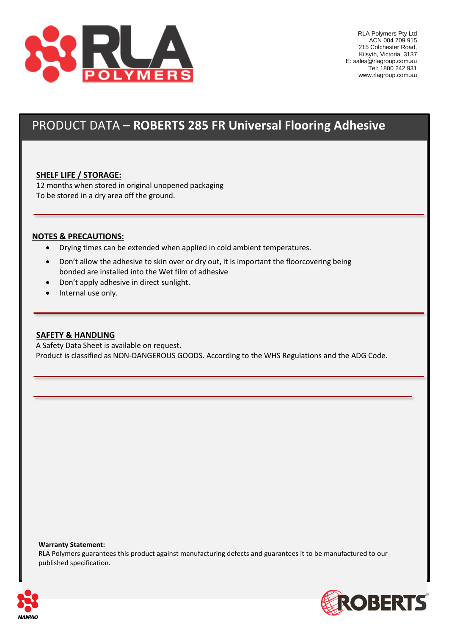

### PRODUCT DATA – **ROBERTS 285 FR Universal Flooring Adhesive**

#### **SHELF LIFE / STORAGE:**

12 months when stored in original unopened packaging To be stored in a dry area off the ground.

#### **NOTES & PRECAUTIONS:**

- Drying times can be extended when applied in cold ambient temperatures.
- Don't allow the adhesive to skin over or dry out, it is important the floorcovering being bonded are installed into the Wet film of adhesive
- Don't apply adhesive in direct sunlight.
- Internal use only.

#### **SAFETY & HANDLING**

 A Safety Data Sheet is available on request. Product is classified as NON-DANGEROUS GOODS. According to the WHS Regulations and the ADG Code.

#### **Warranty Statement:**

RLA Polymers guarantees this product against manufacturing defects and guarantees it to be manufactured to our published specification.